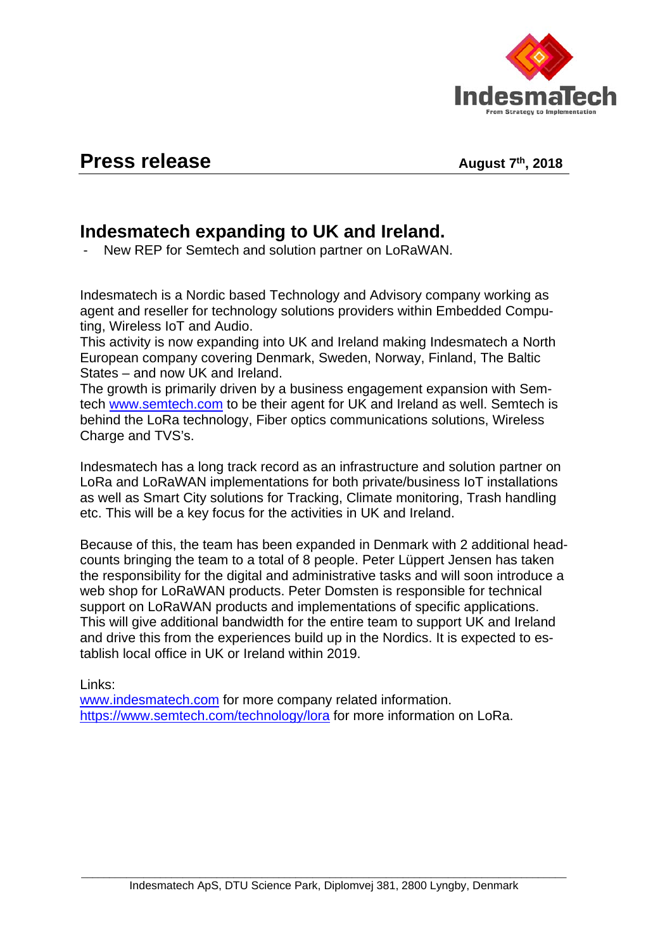

## **Press release** August 7th, 2018

## **Indesmatech expanding to UK and Ireland.**

- New REP for Semtech and solution partner on LoRaWAN.

Indesmatech is a Nordic based Technology and Advisory company working as agent and reseller for technology solutions providers within Embedded Computing, Wireless IoT and Audio.

This activity is now expanding into UK and Ireland making Indesmatech a North European company covering Denmark, Sweden, Norway, Finland, The Baltic States – and now UK and Ireland.

The growth is primarily driven by a business engagement expansion with Semtech [www.semtech.com](http://www.semtech.com/) to be their agent for UK and Ireland as well. Semtech is behind the LoRa technology, Fiber optics communications solutions, Wireless Charge and TVS's.

Indesmatech has a long track record as an infrastructure and solution partner on LoRa and LoRaWAN implementations for both private/business IoT installations as well as Smart City solutions for Tracking, Climate monitoring, Trash handling etc. This will be a key focus for the activities in UK and Ireland.

Because of this, the team has been expanded in Denmark with 2 additional headcounts bringing the team to a total of 8 people. Peter Lüppert Jensen has taken the responsibility for the digital and administrative tasks and will soon introduce a web shop for LoRaWAN products. Peter Domsten is responsible for technical support on LoRaWAN products and implementations of specific applications. This will give additional bandwidth for the entire team to support UK and Ireland and drive this from the experiences build up in the Nordics. It is expected to establish local office in UK or Ireland within 2019.

Links:

[www.indesmatech.com](http://www.indesmatech.com/) for more company related information. <https://www.semtech.com/technology/lora> for more information on LoRa.